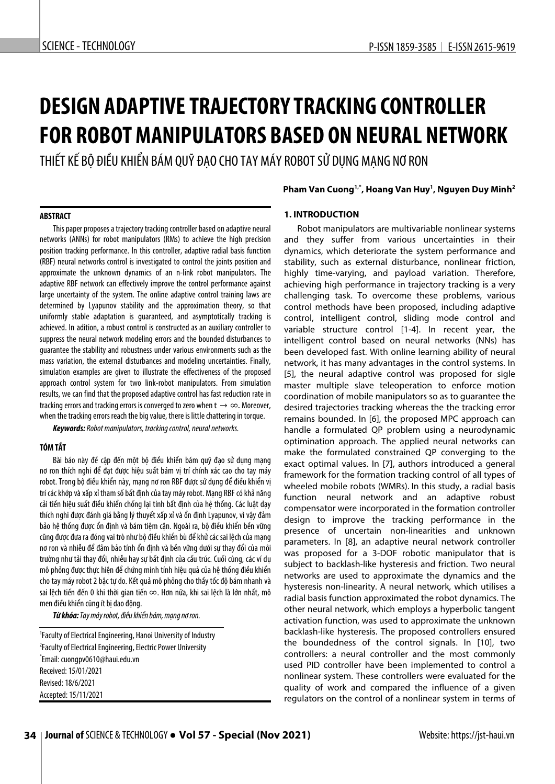# **DESIGN ADAPTIVE TRAJECTORY TRACKING CONTROLLER FOR ROBOT MANIPULATORS BASED ON NEURAL NETWORK**

THIẾT KẾ BỘ ĐIỀU KHIỂN BÁM QUỸ ĐAO CHO TAY MÁY ROBOT SỬ DUNG MANG NƠ RON

#### **ABSTRACT**

This paper proposes a trajectory tracking controller based on adaptive neural networks (ANNs) for robot manipulators (RMs) to achieve the high precision position tracking performance. In this controller, adaptive radial basis function (RBF) neural networks control is investigated to control the joints position and approximate the unknown dynamics of an n-link robot manipulators. The adaptive RBF network can effectively improve the control performance against large uncertainty of the system. The online adaptive control training laws are determined by Lyapunov stability and the approximation theory, so that uniformly stable adaptation is guaranteed, and asymptotically tracking is achieved. In adition, a robust control is constructed as an auxiliary controller to suppress the neural network modeling errors and the bounded disturbances to guarantee the stability and robustness under various environments such as the mass variation, the external disturbances and modeling uncertainties. Finally, simulation examples are given to illustrate the effectiveness of the proposed approach control system for two link-robot manipulators. From simulation results, we can find that the proposed adaptive control has fast reduction rate in tracking errors and tracking errors is converged to zero when  $t \to \infty$ . Moreover, when the tracking errors reach the big value, there is little chattering in torque.

*Keywords: Robot manipulators, tracking control, neural networks.* 

## **TÓM TẮT**

Bài báo này để cập đến một bộ điều khiển bám quỹ đạo sử dụng mạng nơ ron thích nghi để đạt được hiệu suất bám vị trí chính xác cao cho tay máy robot. Trong bộ điều khiển này, mạng nơ ron RBF được sử dụng để điều khiển vị trí các khớp và xấp xỉ tham số bất định của tay máy robot. Mạng RBF có khả năng cải tiến hiệu suất điều khiển chống lại tính bất định của hệ thống. Các luật dạy thích nghi được đánh giá bằng lý thuyết xấp xỉ và ổn định Lyapunov, vì vậy đảm bảo hệ thống được ổn định và bám tiệm cận. Ngoài ra, bộ điều khiển bền vững cũng được đưa ra đóng vai trò như bộ điều khiển bù để khử các sai lệch của mạng nơ ron và nhiễu để đảm bảo tính ổn định và bền vững dưới sự thay đổi của môi trường như tải thay đổi, nhiễu hay sự bất định của cấu trúc. Cuối cùng, các ví dụ mô phỏng được thực hiện để chứng minh tính hiệu quả của hệ thống điều khiển cho tay máy robot 2 bậc tự do. Kết quả mô phỏng cho thấy tốc độ bám nhanh và sai lệch tiến đến 0 khi thời gian tiến ∞. Hơn nữa, khi sai lệch là lớn nhất, mô men điều khiển cũng ít bị dao động.

*Từ khóa:Tay máy robot, điều khiển bám, mạng nơ ron.*

1 Faculty of Electrical Engineering, Hanoi University of Industry 2 Faculty of Electrical Engineering, Electric Power University \* Email: cuongpv0610@haui.edu.vn Received: 15/01/2021 Revised: 18/6/2021 Accepted: 15/11/2021

## **Pham Van Cuong1,\*, Hoang Van Huy1 , Nguyen Duy Minh2**

## **1. INTRODUCTION**

Robot manipulators are multivariable nonlinear systems and they suffer from various uncertainties in their dynamics, which deteriorate the system performance and stability, such as external disturbance, nonlinear friction, highly time-varying, and payload variation. Therefore, achieving high performance in trajectory tracking is a very challenging task. To overcome these problems, various control methods have been proposed, including adaptive control, intelligent control, sliding mode control and variable structure control [1-4]. In recent year, the intelligent control based on neural networks (NNs) has been developed fast. With online learning ability of neural network, it has many advantages in the control systems. In [5], the neural adaptive control was proposed for sigle master multiple slave teleoperation to enforce motion coordination of mobile manipulators so as to guarantee the desired trajectories tracking whereas the the tracking error remains bounded. In [6], the proposed MPC approach can handle a formulated QP problem using a neurodynamic optimination approach. The applied neural networks can make the formulated constrained QP converging to the exact optimal values. In [7], authors introduced a general framework for the formation tracking control of all types of wheeled mobile robots (WMRs). In this study, a radial basis function neural network and an adaptive robust compensator were incorporated in the formation controller design to improve the tracking performance in the presence of uncertain non-linearities and unknown parameters. In [8], an adaptive neural network controller was proposed for a 3-DOF robotic manipulator that is subject to backlash-like hysteresis and friction. Two neural networks are used to approximate the dynamics and the hysteresis non-linearity. A neural network, which utilises a radial basis function approximated the robot dynamics. The other neural network, which employs a hyperbolic tangent activation function, was used to approximate the unknown backlash-like hysteresis. The proposed controllers ensured the boundedness of the control signals. In [10], two controllers: a neural controller and the most commonly used PID controller have been implemented to control a nonlinear system. These controllers were evaluated for the quality of work and compared the influence of a given regulators on the control of a nonlinear system in terms of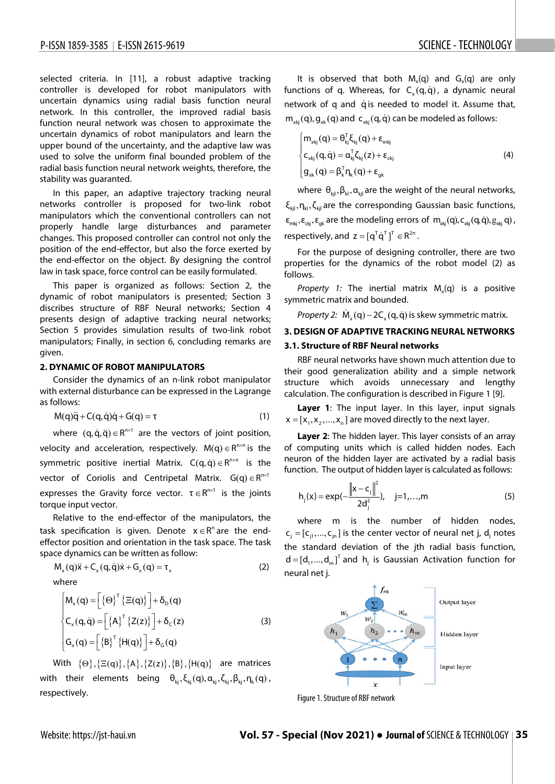֡֡֡֡֡֡

selected criteria. In [11], a robust adaptive tracking controller is developed for robot manipulators with uncertain dynamics using radial basis function neural network. In this controller, the improved radial basis function neural network was chosen to approximate the uncertain dynamics of robot manipulators and learn the upper bound of the uncertainty, and the adaptive law was used to solve the uniform final bounded problem of the radial basis function neural network weights, therefore, the stability was guaranted.

In this paper, an adaptive trajectory tracking neural networks controller is proposed for two-link robot manipulators which the conventional controllers can not properly handle large disturbances and parameter changes. This proposed controller can control not only the position of the end-effector, but also the force exerted by the end-effector on the object. By designing the control law in task space, force control can be easily formulated.

This paper is organized as follows: Section 2, the dynamic of robot manipulators is presented; Section 3 discribes structure of RBF Neural networks; Section 4 presents design of adaptive tracking neural networks; Section 5 provides simulation results of two-link robot manipulators; Finally, in section 6, concluding remarks are given.

#### **2. DYNAMIC OF ROBOT MANIPULATORS**

Consider the dynamics of an n-link robot manipulator with external disturbance can be expressed in the Lagrange as follows:

$$
M(q)\ddot{q} + C(q,\dot{q})\dot{q} + G(q) = \tau
$$
\n(1)

where  $(q, \dot{q}, \ddot{q}) \in R^{n \times 1}$  are the vectors of joint position, velocity and acceleration, respectively.  $M(q) \in R^{n \times n}$  is the symmetric positive inertial Matrix.  $C(q, \dot{q}) \in R^{n \times n}$  is the vector of Coriolis and Centripetal Matrix.  $G(q) \in R^{n \times 1}$ expresses the Gravity force vector.  $\tau \in R^{n \times 1}$  is the joints torque input vector.

Relative to the end-effector of the manipulators, the task specification is given. Denote  $x \in R^n$  are the endeffector position and orientation in the task space. The task space dynamics can be written as follow:

$$
M_x(q)\ddot{x} + C_x(q,\dot{q})\dot{x} + G_x(q) = \tau_x
$$
 (2)

where

$$
\begin{cases}\nM_x(q) = \left[\{\Theta\}^\top \left\{\Xi(q)\right\}\right] + \delta_D(q) \\
C_x(q, \dot{q}) = \left[\left\{A\right\}^\top \left\{Z(z)\right\}\right] + \delta_C(z) \\
G_x(q) = \left[\left\{B\right\}^\top \left\{H(q)\right\}\right] + \delta_G(q)\n\end{cases} \tag{3}
$$

With  $\{\Theta\}, \{\Xi(q)\}, \{A\}, \{Z(z)\}, \{B\}, \{H(q)\}\$  are matrices with their elements being  $\theta_{ki}$ ,  $\xi_{ki}(q), \alpha_{ki}$ ,  $\zeta_{ki}, \beta_{ki}, \eta_k(q)$ , respectively.

It is observed that both  $M_v(q)$  and  $G_v(q)$  are only functions of q. Whereas, for  $C<sub>x</sub>(q, \dot{q})$ , a dynamic neural network of q and qis needed to model it. Assume that,  $m_{xki} ( q )$ ,  $g_{xk} ( q )$  and  $c_{xki} ( q , \dot{q} )$  can be modeled as follows:

$$
\begin{cases}\n m_{xkj}(q) = \theta_{kj}^T \xi_{kj}(q) + \varepsilon_{mkj} \\
 c_{xkj}(q, \dot{q}) = \alpha_{kj}^T \zeta_{kj}(z) + \varepsilon_{ckj} \\
 g_{xk}(q) = \beta_k^T \eta_k(q) + \varepsilon_{gk}\n\end{cases}
$$
\n(4)

where  $\theta_{\rm ki}, \beta_{\rm ki}, \alpha_{\rm ki}$  are the weight of the neural networks,  $\xi_{\text{kil}}$ ,  $\eta_{\text{kl}}$ ,  $\zeta_{\text{kil}}$  are the corresponding Gaussian basic functions,  $\epsilon_{mki}, \epsilon_{cki}, \epsilon_{ak}$  are the modeling errors of  $m_{xki} (q)$ ,  $c_{xki} (q, \dot{q})$ ,  $g_{xki} (q)$ , respectively, and  $z = [q^T \dot{q}^T]$ <sup>T</sup>  $\in R^{2n}$ .

For the purpose of designing controller, there are two properties for the dynamics of the robot model (2) as follows.

*Property 1:* The inertial matrix  $M<sub>x</sub>(q)$  is a positive symmetric matrix and bounded.

*Property 2:*  $\dot{M}_{y}(q) - 2C_{y}(q, \dot{q})$  is skew symmetric matrix.

# **3. DESIGN OF ADAPTIVE TRACKING NEURAL NETWORKS 3.1. Structure of RBF Neural networks**

RBF neural networks have shown much attention due to their good generalization ability and a simple network structure which avoids unnecessary and lengthy calculation. The configuration is described in Figure 1 [9].

**Layer 1**: The input layer. In this layer, input signals  $x = [x_1, x_2, ..., x_n]$  are moved directly to the next layer.

**Layer 2**: The hidden layer. This layer consists of an array of computing units which is called hidden nodes. Each neuron of the hidden layer are activated by a radial basis function. The output of hidden layer is calculated as follows:

$$
h_j(x) = exp(-\frac{||x - c_j||^2}{2d_j^2}), \quad j = 1,...,m
$$
 (5)

where m is the number of hidden nodes,  $[c_i = [c_{i1},..., c_{in}]$  is the center vector of neural net j, d<sub>i</sub> notes the standard deviation of the jth radial basis function,  $d = [d_1, ..., d_m]^\mathsf{T}$  and  $h_i$  is Gaussian Activation function for neural net j.



Figure 1. Structure of RBF network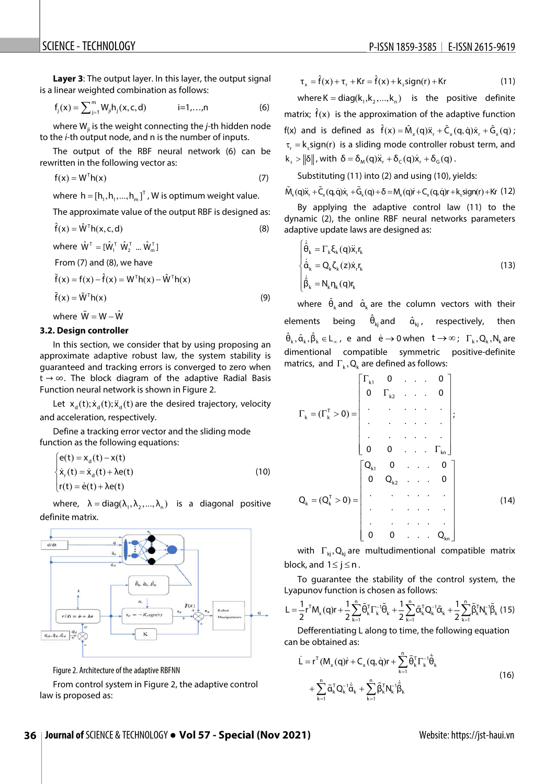**Laver 3:** The output layer. In this layer, the output signal is a linear weighted combination as follows:

$$
f_j(x) = \sum_{j=1}^{m} W_{ji} h_j(x, c, d) \qquad i = 1,...,n
$$
 (6)

where W<sub>ii</sub> is the weight connecting the *j*-th hidden node to the *i-*th output node, and n is the number of inputs.

The output of the RBF neural network (6) can be rewritten in the following vector as:

$$
f(x) = WTh(x)
$$
 (7)

where  $h = [h_1, h_1, ..., h_m]^\mathsf{T}$ , W is optimum weight value.

The approximate value of the output RBF is designed as:

$$
\hat{f}(x) = \hat{W}^{\mathsf{T}} h(x, c, d)
$$
 (8)

where  $\hat{W}^{\text{T}} = [\hat{W}_1^{\text{T}} \hat{W}_2^{\text{T}} ... \hat{W}_m^{\text{T}}]$ 

From (7) and (8), we have

 $ilde{f}(x) = f(x) - \hat{f}(x) = W^{T} h(x) - \hat{W}^{T} h(x)$  $\tilde{f}(x) = \tilde{W}^{T}h(x)$  (9) where  $\tilde{W} = W - \hat{W}$ 

**3.2. Design controller**

In this section, we consider that by using proposing an approximate adaptive robust law, the system stability is guaranteed and tracking errors is converged to zero when  $t \rightarrow \infty$ . The block diagram of the adaptive Radial Basis Function neural network is shown in Figure 2.

Let  $x_{a}(t); \dot{x}_{a}(t); \ddot{x}_{a}(t)$  are the desired trajectory, velocity and acceleration, respectively.

Define a tracking error vector and the sliding mode function as the following equations:

$$
\begin{cases}\n\mathbf{e}(t) = \mathbf{x}_d(t) - \mathbf{x}(t) \\
\dot{\mathbf{x}}_r(t) = \dot{\mathbf{x}}_d(t) + \lambda \mathbf{e}(t) \\
\mathbf{r}(t) = \dot{\mathbf{e}}(t) + \lambda \mathbf{e}(t)\n\end{cases}
$$
\n(10)

where,  $\lambda = diag(\lambda_1, \lambda_2, ..., \lambda_n)$  is a diagonal positive definite matrix.



Figure 2. Architecture of the adaptive RBFNN

From control system in Figure 2, the adaptive control law is proposed as:

$$
\tau_x = \hat{f}(x) + \tau_r + Kr = \hat{f}(x) + k_s sign(r) + Kr \tag{11}
$$

where K = diag( $(k_1, k_2, ..., k_n)$  is the positive definite matrix;  $\hat{f}(x)$  is the approximation of the adaptive function f(x) and is defined as  $\hat{f}(x) = \hat{M}_x(q)\ddot{x}_r + \hat{C}_x(q, \dot{q})\dot{x}_r + \hat{G}_x(q)$ ;  $\tau_r = k_s sign(r)$  is a sliding mode controller robust term, and  $k_{s} > ||\delta||$ , with  $\delta = \delta_{M}(q) \ddot{x}_{r} + \delta_{c}(q) \dot{x}_{r} + \delta_{c}(q)$ .

Substituting (11) into (2) and using (10), yields:

 $\tilde{M}_{x}(q) \ddot{x}_{r} + \tilde{C}_{x}(q, \dot{q}) \dot{x}_{r} + \tilde{G}_{x}(q) + \delta = M_{x}(q)\dot{r} + C_{x}(q, \dot{q})r + k_{x} sign(r) + Kr$  (12)

By applying the adaptive control law (11) to the dynamic (2), the online RBF neural networks parameters adaptive update laws are designed as:

$$
\begin{cases}\n\dot{\hat{\theta}}_k = \Gamma_k \xi_k(q) \ddot{x}_r r_k \\
\dot{\hat{\alpha}}_k = Q_k \zeta_k(z) \dot{x}_r r_k \\
\dot{\hat{\beta}}_k = N_k \eta_k(q) r_k\n\end{cases}
$$
\n(13)

where  $\hat{\theta}_k$  and  $\hat{\alpha}_k$  are the column vectors with their elements being  $\hat{\theta}_{ki}$  and  $\hat{\alpha}_{ki}$ , respectively, then  $\hat{\theta}_k, \hat{\alpha}_k, \hat{\beta}_k \in L_{\infty}$ , e and  $\dot{e} \to 0$  when  $t \to \infty$ ;  $\Gamma_k, Q_k, N_k$  are dimentional compatible symmetric positive-definite matrics, and  $\Gamma_k$ , Q<sub>k</sub> are defined as follows:

$$
\Gamma_{k} = (\Gamma_{k}^{T} > 0) = \begin{bmatrix} \Gamma_{k1} & 0 & \dots & 0 \\ 0 & \Gamma_{k2} & \dots & 0 \\ \vdots & \vdots & \ddots & \vdots & \vdots \\ 0 & 0 & \dots & \Gamma_{kn} \end{bmatrix};
$$
\n
$$
Q_{k} = (Q_{k}^{T} > 0) = \begin{bmatrix} Q_{k1} & 0 & \dots & 0 \\ 0 & Q_{k2} & \dots & 0 \\ \vdots & \vdots & \ddots & \vdots \\ 0 & 0 & \dots & Q_{kn} \end{bmatrix}
$$
\n(14)

with  $\Gamma_{ki}$ , Q<sub>ki</sub> are multudimentional compatible matrix block, and  $1 \le j \le n$ .

To guarantee the stability of the control system, the Lyapunov function is chosen as follows:

$$
L=\frac{1}{2}r^{\mathsf{T}}M_{_{x}}(q)r+\frac{1}{2}\sum_{k=1}^{n}\!\tilde{\theta}_{k}^{\mathsf{T}}\Gamma_{_{k}}^{-1}\!\tilde{\theta}_{k}+\frac{1}{2}\sum_{k=1}^{n}\!\tilde{\alpha}_{k}^{\mathsf{T}}Q_{_{k}}^{-1}\tilde{\alpha}_{k}+\frac{1}{2}\sum_{k=1}^{n}\!\tilde{\beta}_{k}^{\mathsf{T}}N_{_{k}}^{-1}\!\tilde{\beta}_{k}\ (15)
$$

Defferentiating L along to time, the following equation can be obtained as:

$$
\dot{\mathsf{L}} = \mathsf{r}^{\mathsf{T}}(\mathsf{M}_{\mathsf{x}}(\mathsf{q})\dot{\mathsf{r}} + \mathsf{C}_{\mathsf{x}}(\mathsf{q},\dot{\mathsf{q}})\mathsf{r} + \sum_{k=1}^{n} \tilde{\Theta}_{k}^{\mathsf{T}} \Gamma_{k}^{-1} \dot{\tilde{\Theta}}_{k} + \sum_{k=1}^{n} \tilde{\mathsf{Q}}_{k}^{\mathsf{T}} \mathsf{Q}_{k}^{-1} \dot{\tilde{\mathsf{Q}}}_{k} + \sum_{k=1}^{n} \tilde{\beta}_{k}^{\mathsf{T}} \mathsf{N}_{k}^{-1} \dot{\tilde{\beta}}_{k}
$$
\n(16)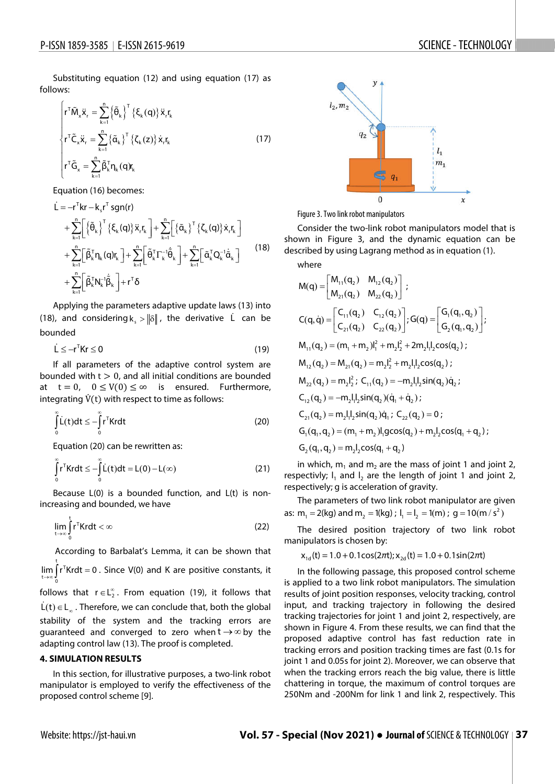֡֡֡֡֡֡

Substituting equation (12) and using equation (17) as follows:

$$
\begin{cases}\nr^T \tilde{M}_x \ddot{x}_r = \sum_{k=1}^n \left\{ \tilde{\theta}_k \right\}^T \left\{ \xi_k(q) \right\} \ddot{x}_r r_k \\
r^T \tilde{C}_x \ddot{x}_r = \sum_{k=1}^n \left\{ \tilde{\alpha}_k \right\}^T \left\{ \zeta_k(z) \right\} \dot{x}_r r_k \\
r^T \tilde{G}_x = \sum_{k=1}^n \tilde{\beta}_k^T \eta_k(q) r_k\n\end{cases}
$$
\n(17)

Equation (16) becomes:

$$
\dot{L} = -r^{T}kr - k_{s}r^{T}sgn(r)
$$
\n
$$
+ \sum_{k=1}^{n} \left[ \left\{ \tilde{\theta}_{k} \right\}^{T} \left\{ \xi_{k}(q) \right\} \ddot{x}_{r}r_{k} \right] + \sum_{k=1}^{n} \left[ \left\{ \tilde{\alpha}_{k} \right\}^{T} \left\{ \zeta_{k}(q) \right\} \dot{x}_{r}r_{k} \right]
$$
\n
$$
+ \sum_{k=1}^{n} \left[ \tilde{\beta}_{k}^{T}n_{k}(q)r_{k} \right] + \sum_{k=1}^{n} \left[ \tilde{\theta}_{k}^{T} \Gamma_{k}^{-1} \dot{\tilde{\theta}}_{k} \right] + \sum_{k=1}^{n} \left[ \tilde{\alpha}_{k}^{T} Q_{k}^{-1} \dot{\tilde{\alpha}}_{k} \right]
$$
\n
$$
+ \sum_{k=1}^{n} \left[ \tilde{\beta}_{k}^{T} N_{k}^{-1} \dot{\tilde{\beta}}_{k} \right] + r^{T} \delta
$$
\n(18)

Applying the parameters adaptive update laws (13) into (18), and considering  $k_s > ||\delta||$ , the derivative  $\dot{L}$  can be bounded

$$
\dot{\mathsf{L}} \leq -\mathsf{r}^\mathsf{T} \mathsf{Kr} \leq 0 \tag{19}
$$

If all parameters of the adaptive control system are bounded with  $t > 0$ , and all initial conditions are bounded at  $t = 0$ ,  $0 \le V(0) \le \infty$  is ensured. Furthermore, integrating  $\dot{V}(t)$  with respect to time as follows:

$$
\int_{0}^{\infty} \dot{L}(t)dt \le -\int_{0}^{\infty} r^{T}Krdt
$$
\n(20)

Equation (20) can be rewritten as:

$$
\int_{0}^{\infty} r^{T}Krdt \le -\int_{0}^{\infty} L(t)dt = L(0) - L(\infty)
$$
\n(21)

Because L(0) is a bounded function, and L(t) is nonincreasing and bounded, we have

$$
\lim_{t \to \infty} \int_{0}^{t} r^{T} K r dt < \infty
$$
\n(22)

According to Barbalat's Lemma, it can be shown that  $\lim_{t\to\infty}\int r^T K r dt = 0$  . Since V(0) and K are positive constants, it t→∞ J<br>0  $\rightarrow \infty$ follows that  $r \in L_2^{\infty}$ . From equation (19), it follows that  $\dot{L}(t) \in L_{\infty}$ . Therefore, we can conclude that, both the global

stability of the system and the tracking errors are guaranteed and converged to zero when  $t \rightarrow \infty$  by the adapting control law (13). The proof is completed.

#### **4. SIMULATION RESULTS**

In this section, for illustrative purposes, a two-link robot manipulator is employed to verify the effectiveness of the proposed control scheme [9].



Figure 3. Two link robot manipulators

Consider the two-link robot manipulators model that is shown in Figure 3, and the dynamic equation can be described by using Lagrang method as in equation (1). where

$$
M(q) = \begin{bmatrix} M_{11}(q_2) & M_{12}(q_2) \\ M_{21}(q_2) & M_{22}(q_2) \end{bmatrix};
$$
  
\n
$$
C(q, \dot{q}) = \begin{bmatrix} C_{11}(q_2) & C_{12}(q_2) \\ C_{21}(q_2) & C_{22}(q_2) \end{bmatrix}; G(q) = \begin{bmatrix} G_1(q_1, q_2) \\ G_2(q_1, q_2) \end{bmatrix};
$$
  
\n
$$
M_{11}(q_2) = (m_1 + m_2)l_1^2 + m_2l_2^2 + 2m_2l_1l_2\cos(q_2);
$$
  
\n
$$
M_{12}(q_2) = M_{21}(q_2) = m_2l_2^2 + m_2l_1l_2\cos(q_2);
$$
  
\n
$$
M_{22}(q_2) = m_2l_2^2; C_{11}(q_2) = -m_2l_1l_2\sin(q_2)\dot{q}_2;
$$
  
\n
$$
C_{12}(q_2) = -m_2l_1l_2\sin(q_2)(\dot{q}_1 + \dot{q}_2);
$$
  
\n
$$
C_{21}(q_2) = m_2l_1l_2\sin(q_2)\dot{q}_1; C_{22}(q_2) = 0;
$$
  
\n
$$
G_1(q_1, q_2) = (m_1 + m_2)l_1g\cos(q_2) + m_2l_2\cos(q_1 + q_2);
$$
  
\n
$$
G_2(q_1, q_2) = m_2l_2\cos(q_1 + q_2)
$$

in which,  $m_1$  and  $m_2$  are the mass of joint 1 and joint 2, respectivly;  $I_1$  and  $I_2$  are the length of joint 1 and joint 2, respectively; g is acceleration of gravity.

The parameters of two link robot manipulator are given as:  $m_1 = 2(kg)$  and  $m_2 = 1(kg)$ ;  $l_1 = l_2 = 1(m)$ ;  $g = 10(m/s^2)$ 

The desired position trajectory of two link robot manipulators is chosen by:

$$
x_{1d}(t) = 1.0 + 0.1\cos(2\pi t); x_{2d}(t) = 1.0 + 0.1\sin(2\pi t)
$$

In the following passage, this proposed control scheme is applied to a two link robot manipulators. The simulation results of joint position responses, velocity tracking, control input, and tracking trajectory in following the desired tracking trajectories for joint 1 and joint 2, respectively, are shown in Figure 4. From these results, we can find that the proposed adaptive control has fast reduction rate in tracking errors and position tracking times are fast (0.1s for joint 1 and 0.05s for joint 2). Moreover, we can observe that when the tracking errors reach the big value, there is little chattering in torque, the maximum of control torques are 250Nm and -200Nm for link 1 and link 2, respectively. This